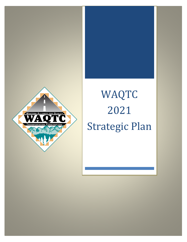

# WAQTC Plan 2021 Strategic Plan

Strategic Plan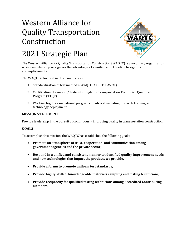

## 2021 Strategic Plan

The Western Alliance for Quality Transportation Construction (WAQTC) is a voluntary organization whose membership recognizes the advantages of a unified effort leading to significant accomplishments.

The WAQTC is focused in three main areas:

- 1. Standardization of test methods (WAQTC, AASHTO, ASTM)
- 2. Certification of sampler / testers through the Transportation Technician Qualification Program (TTQP)
- 3. Working together on national programs of interest including research, training, and technology deployment

### **MISSION STATEMENT:**

Provide leadership in the pursuit of continuously improving quality in transportation construction.

### **GOALS**

To accomplish this mission, the WAQTC has established the following goals:

- **Promote an atmosphere of trust, cooperation, and communication among government agencies and the private sector,**
- **Respond in a unified and consistent manner to identified quality improvement needs and new technologies that impact the products we provide,**
- **Provide a forum to promote uniform test standards,**
- **Provide highly skilled, knowledgeable materials sampling and testing technicians,**
- **Provide reciprocity for qualified testing technicians among Accredited Contributing Members.**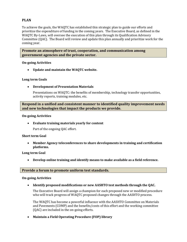### **PLAN**

To achieve the goals, the WAQTC has established this strategic plan to guide our efforts and prioritize the expenditure of funding in the coming years. The Executive Board, as defined in the WAQTC By-Laws, will oversee the execution of this plan through its Qualification Advisory Committee (QAC). The Board will review and update this plan annually and prioritize work for the coming year.

**Promote an atmosphere of trust, cooperation, and communication among government agencies and the private sector.**

### **On-going Activities**

• **Update and maintain the WAQTC website.**

### **Long term Goals**

• **Development of Presentation Materials** 

Presentations on WAQTC: the benefits of membership, technology transfer opportunities, activity reports, training modules, etc.

**Respond in a unified and consistent manner to identified quality improvement needs and new technologies that impact the products we provide.**

### **On-going Activities**

• **Evaluate training materials yearly for content**

Part of the ongoing QAC effort.

### **Short term Goal**

• **Member Agency teleconferences to share developments in training and certification platforms.**

### **Long term Goal**

• **Develop online training and identify means to make available as a field reference.**

### **Provide a forum to promote uniform test standards.**

### **On-going Activities**

• **Identify proposed modifications or new AASHTO test methods through the QAC.** 

The Executive Board will assign a champion for each proposed new or modified procedure who will track progress of WAQTC proposed changes through the AASHTO process.

The WAQTC has become a powerful influence with the AASHTO Committee on Materials and Pavements (COMP) and the benefits/costs of this effort and the working committee (QAC) are included in the on-going efforts.

• **Maintain a Field Operating Procedure (FOP) library**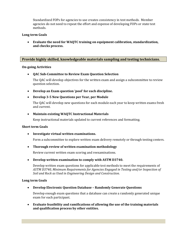Standardized FOPs for agencies to use creates consistency in test methods. Member agencies do not need to repeat the effort and expense of developing FOPs or state test methods.

### **Long term Goals**

• **Evaluate the need for WAQTC training on equipment calibration, standardization, and checks process.**

### **Provide highly skilled, knowledgeable materials sampling and testing technicians.**

### **On-going Activities**

### • **QAC Sub-Committee to Review Exam Question Selection**

The QAC will develop objectives for the written exam and assign a subcommittee to review question selection.

- **Develop an Exam question 'pool' for each discipline.**
- **Develop 3-5 New Questions per Year, per Module**

The QAC will develop new questions for each module each year to keep written exams fresh and current.

### • **Maintain existing WAQTC Instructional Materials**

Keep instructional materials updated to current references and formatting.

### **Short term Goals**

• **Investigate virtual written examinations.**

Form a subcommittee to explore written exam delivery remotely or through testing centers.

### • **Thorough review of written examination methodology**

Review current written exam scoring and reexaminations.

### • **Develop written examination to comply with ASTM D3740.**

Develop written exam questions for applicable test methods to meet the requirements of *ASTM D3740, Minimum Requirements for Agencies Engaged in Testing and/or Inspection of Soil and Rock as Used in Engineering Design and Construction.*

### **Long term Goals**

• **Develop Electronic Question Database – Randomly Generate Questions**

Develop enough exam questions that a database can create a randomly generated unique exam for each participant.

• **Evaluate feasibility and ramifications of allowing the use of the training materials and qualification process by other entities.**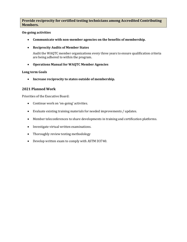### **Provide reciprocity for certified testing technicians among Accredited Contributing Members.**

### **On-going activities**

- **Communicate with non-member agencies on the benefits of membership.**
- **Reciprocity Audits of Member States**

Audit the WAQTC member organizations every three years to ensure qualification criteria are being adhered to within the program.

• **Operations Manual for WAQTC Member Agencies**

### **Long term Goals**

• **Increase reciprocity to states outside of membership.**

### **2021 Planned Work**

Priorities of the Executive Board:

- Continue work on 'on-going' activities.
- Evaluate existing training materials for needed improvements / updates.
- Member teleconferences to share developments in training and certification platforms.
- Investigate virtual written examinations.
- Thoroughly review testing methodology
- Develop written exam to comply with ASTM D3740.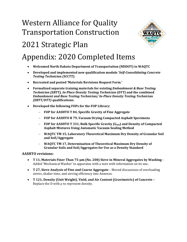

## 2021 Strategic Plan

### Appendix: 2020 Completed Items

- **Welcomed North Dakota Department of Transportation (NDDOT) to WAQTC**
- **Developed and implemented new qualification module '***Self-Consolidating Concrete Testing Technician (SCCTT)***.**
- **Recreated and posted 'Materials Revisions Request Form.'**
- **Formalized separate training materials for existing** *Embankment & Base Testing Technician (EBTT), In-Place Density Testing Technician (DTT)* **and the combined**  *Embankment and Base Testing Technician/ In-Place Density Testing Technician (EBTT/DTT)* **qualifications.**
- **Developed the following FOPs for the FOP Library:**
	- − **FOP for AASHTO T 84, Specific Gravity of Fine Aggregate**
	- − **FOP for AASHTO R 79, Vacuum Drying Compacted Asphalt Specimens**
	- − **FOP for AASHTO T 331, Bulk Specific Gravity (Gmb) and Density of Compacted Asphalt Mixtures Using Automatic Vacuum Sealing Method**
	- − **WAQTC TM 15, Laboratory Theoretical Maximum Dry Density of Granular Soil and Soil/Aggregate**
	- − **WAQTC TM 17, Determination of Theoretical Maximum Dry Density of Granular Soils and Soil/Aggregates for Use as a Density Standard**

### **AASHTO revisions:**

- **T 11, Materials Finer Than 75-µm (No. 200) Sieve in Mineral Aggregates by Washing** Added 'Mechanical Washer' to apparatus with a note with information on its use**.**
- **T 27, Sieve Analysis of Fine and Coarse Aggregate** Moved discussions of overloading sieves, shaker time, and sieving efficiency into Annexes.
- **T 121, Density (Unit Weight), Yield, and Air Content (Gravimetric) of Concrete –** Replace the D with ρ to represent density.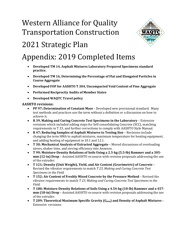

## 2021 Strategic Plan

## Appendix: 2019 Completed Items

- **Developed TM 14, Asphalt Mixtures Laboratory Prepared Specimens standard practice.**
- **Developed TM 16, Determining the Percentage of Flat and Elongated Particles in Coarse Aggregate**
- **Developed FOP for AASHTO T 304, Uncompacted Void Content of Fine Aggregate**
- **Performed Reciprocity Audits of Member States**
- **Developed WAQTC Travel policy**

### **AASHTO revisions:**

- **PP 97; Determination of Constant Mass** Developed new provisional standard. Many test methods and practices use the term without a definition or a discussion on how to achieve it.
- **R 39, Making and Curing Concrete Test Specimens in the Laboratory**  Extensive revisions which included adding steps for Self-consolidating Concrete (SCC), matching requirements in T 23, and further corrections to comply with AASHTO Style Manual.
- **R 47; Reducing Samples of Asphalt Mixtures to Testing Size** Revisions include changing the term HMA to asphalt mixtures, maximum temperature for heating equipment, and adding heating of equipment in 10.1 and 12.1.
- **T 30; Mechanical Analysis of Extracted Aggregate** Moved discussions of overloading sieves, shaker time, and sieving efficiency into Annexes.
- **T 99; Moisture-Density Relations of Soils Using a 2.5-kg (5.5-lb) Rammer and a 305 mm (12-in) Drop** – Assisted AASHTO re:source with revision proposals addressing the use of the extruder.
- **T 121; Density (Unit Weight), Yield, and Air Content (Gravimetric) of Concrete** Revised the vibrator requirements to match *T 23, Making and Curing Concrete Test Specimens in the Field.*
- **T 152; Air Content of Freshly Mixed Concrete by the Pressure Method** Revised the vibrator requirements to match *T 23, Making and Curing Concrete Test Specimens in the Field.*
- **T 180; Moisture-Density Relations of Soils Using a 4.54-kg (10-lb) Rammer and a 457 mm (18-in) Drop** – Assisted AASHTO re:source with revision proposals addressing the use of the extruder.
- **T 209; Theoretical Maximum Specific Gravity (G<sub>mm</sub>) and Density of Asphalt Mixtures** Extensive revisions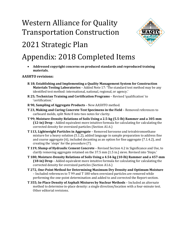

### 2021 Strategic Plan

### Appendix: 2018 Completed Items

• **Addressed copyright concerns on produced standards and reproduced training materials.**

### **AASHTO revisions:**

- **R 18; Establishing and Implementing a Quality Management System for Construction Materials Testing Laboratories** – Added Note 17: 'The standard test method may be any identified test method: international, national, regional, or agency.'
- **R 25; Technician Training and Certification Programs** Revised 'qualification' to 'certification.'
- **R 90, Sampling of Aggregate Products** New AASHTO method.
- **T 23, Making and Curing Concrete Test Specimens in the Field** Removed references to carboard molds, split Note 8 into two notes for clarity.
- **T 99; Moisture-Density Relations of Soils Using a 2.5-kg (5.5-lb) Rammer and a 305-mm (12-in) Drop** – Added equivalent more intuitive formula for calculating for calculating the corrected density for oversized particles (Section A1.6.)
- **T 113, Lightweight Particles in Aggregate**  Removed kerosene and tetrabtromoethane mixture for a heavy solution (5.1.2), added language in sample preparation to address fine and coarse aggregate (6), included decanting as an option for fine aggregate (7.1.4.2), and creating the 'steps' for the procedure (7).
- **T 119; Slump of Hydraulic Cement Concrete** Revised Section 4.2 in Significance and Use, to clarify removing aggregate retained on the 37.5 mm [1.5 in.] sieve. Revised into 'Steps.'
- **T 180; Moisture-Density Relations of Soils Using a 4.54-kg (10-lb) Rammer and a 457-mm (18-in) Drop** – Added equivalent more intuitive formula for calculating for calculating the corrected density for oversized particles (Section A1.6.)
- **T 272, One-Point Method for Determining Maximum Dry Density and Optimum Moisture**  – Included references to T 99 and T 180 when oversized particles are removed while performing the one-point determination and added to and corrected the Report section.
- **T 355; In-Place Density of Asphalt Mixtures by Nuclear Methods**  Included an alternate method to determine in-place density: a single direction/location with a four-minute test. Other editorial revisions.